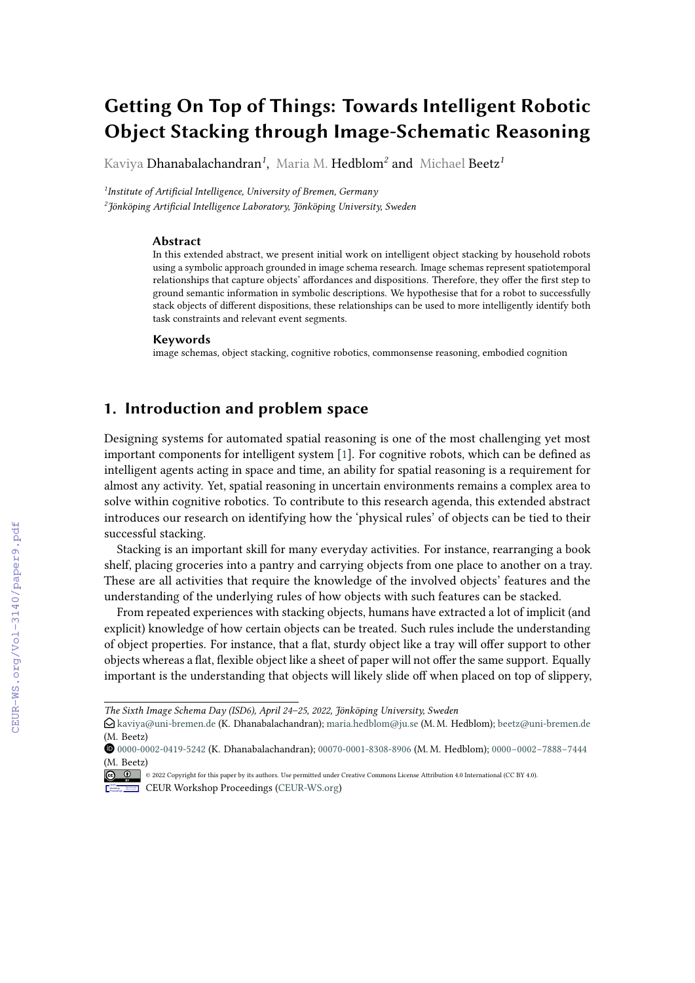# **Getting On Top of Things: Towards Intelligent Robotic Object Stacking through Image-Schematic Reasoning**

Kaviya Dhanabalachandran*<sup>1</sup>* , Maria M. Hedblom*<sup>2</sup>* and Michael Beetz*<sup>1</sup>*

*1 Institute of Artificial Intelligence, University of Bremen, Germany 2 Jönköping Artificial Intelligence Laboratory, Jönköping University, Sweden*

#### **Abstract**

In this extended abstract, we present initial work on intelligent object stacking by household robots using a symbolic approach grounded in image schema research. Image schemas represent spatiotemporal relationships that capture objects' affordances and dispositions. Therefore, they offer the first step to ground semantic information in symbolic descriptions. We hypothesise that for a robot to successfully stack objects of different dispositions, these relationships can be used to more intelligently identify both task constraints and relevant event segments.

#### **Keywords**

image schemas, object stacking, cognitive robotics, commonsense reasoning, embodied cognition

## **1. Introduction and problem space**

Designing systems for automated spatial reasoning is one of the most challenging yet most important components for intelligent system [\[1\]](#page--1-0). For cognitive robots, which can be defined as intelligent agents acting in space and time, an ability for spatial reasoning is a requirement for almost any activity. Yet, spatial reasoning in uncertain environments remains a complex area to solve within cognitive robotics. To contribute to this research agenda, this extended abstract introduces our research on identifying how the 'physical rules' of objects can be tied to their successful stacking.

Stacking is an important skill for many everyday activities. For instance, rearranging a book shelf, placing groceries into a pantry and carrying objects from one place to another on a tray. These are all activities that require the knowledge of the involved objects' features and the understanding of the underlying rules of how objects with such features can be stacked.

From repeated experiences with stacking objects, humans have extracted a lot of implicit (and explicit) knowledge of how certain objects can be treated. Such rules include the understanding of object properties. For instance, that a flat, sturdy object like a tray will offer support to other objects whereas a flat, flexible object like a sheet of paper will not offer the same support. Equally important is the understanding that objects will likely slide off when placed on top of slippery,

*The Sixth Image Schema Day (ISD6), April 24–25, 2022, Jönköping University, Sweden*

 $\bigcirc$ [kaviya@uni-bremen.de](mailto:kaviya@uni-bremen.de) (K. Dhanabalachandran); [maria.hedblom@ju.se](mailto:maria.hedblom@ju.se) (M. M. Hedblom); [beetz@uni-bremen.de](mailto:beetz@uni-bremen.de) (M. Beetz)

Orcid [0000-0002-0419-5242](https://orcid.org/0000-0002-0419-5242) (K. Dhanabalachandran); [00070-0001-8308-8906](https://orcid.org/00070-0001-8308-8906) (M. M. Hedblom); [0000−0002−7888−7444](https://orcid.org/0000−0002−7888−7444) (M. Beetz)

<sup>© 2022</sup> Copyright for this paper by its authors. Use permitted under Creative Commons License Attribution 4.0 International (CC BY 4.0).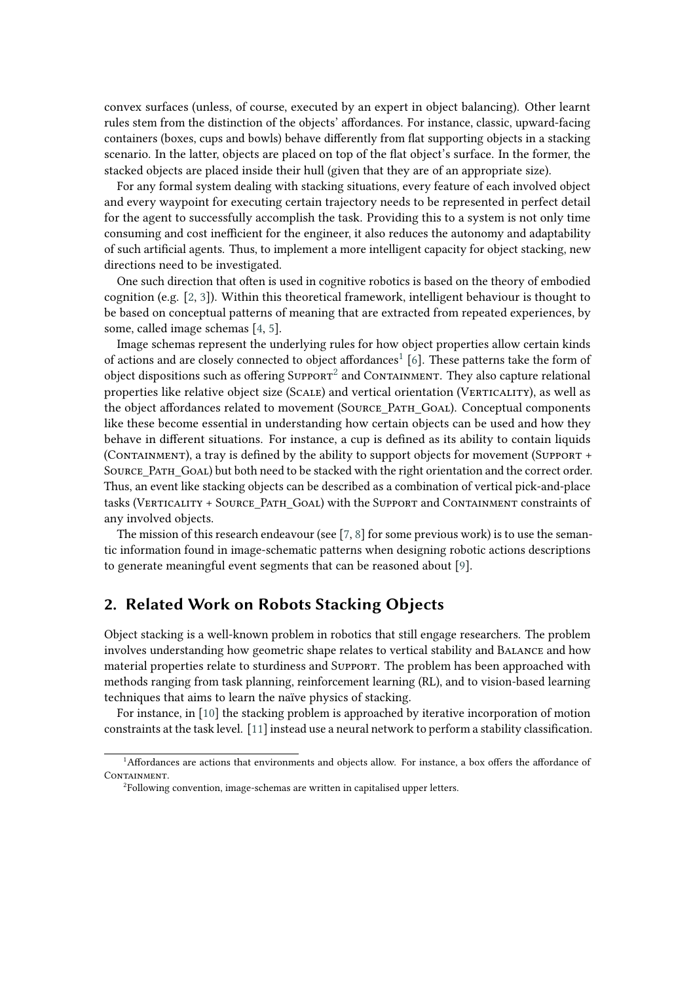convex surfaces (unless, of course, executed by an expert in object balancing). Other learnt rules stem from the distinction of the objects' affordances. For instance, classic, upward-facing containers (boxes, cups and bowls) behave differently from flat supporting objects in a stacking scenario. In the latter, objects are placed on top of the flat object's surface. In the former, the stacked objects are placed inside their hull (given that they are of an appropriate size).

For any formal system dealing with stacking situations, every feature of each involved object and every waypoint for executing certain trajectory needs to be represented in perfect detail for the agent to successfully accomplish the task. Providing this to a system is not only time consuming and cost inefficient for the engineer, it also reduces the autonomy and adaptability of such artificial agents. Thus, to implement a more intelligent capacity for object stacking, new directions need to be investigated.

One such direction that often is used in cognitive robotics is based on the theory of embodied cognition (e.g.  $[2, 3]$  $[2, 3]$ ). Within this theoretical framework, intelligent behaviour is thought to be based on conceptual patterns of meaning that are extracted from repeated experiences, by some, called image schemas [\[4,](#page-5-2) [5\]](#page-5-3).

Image schemas represent the underlying rules for how object properties allow certain kinds of actions and are closely connected to object affordances<sup>[1](#page-1-0)</sup> [\[6\]](#page-5-4). These patterns take the form of object dispositions such as offering  $\text{Supporr}^2$  $\text{Supporr}^2$  and  $\text{Convarumamen.}$  They also capture relational properties like relative object size (SCALE) and vertical orientation (VERTICALITY), as well as the object affordances related to movement (Source\_Path\_Goal). Conceptual components like these become essential in understanding how certain objects can be used and how they behave in different situations. For instance, a cup is defined as its ability to contain liquids (CONTAINMENT), a tray is defined by the ability to support objects for movement (SUPPORT + SOURCE PATH GOAL) but both need to be stacked with the right orientation and the correct order. Thus, an event like stacking objects can be described as a combination of vertical pick-and-place tasks (VERTICALITY + SOURCE PATH GOAL) with the SUPPORT and CONTAINMENT constraints of any involved objects.

The mission of this research endeavour (see [\[7,](#page-5-5) [8\]](#page-5-6) for some previous work) is to use the semantic information found in image-schematic patterns when designing robotic actions descriptions to generate meaningful event segments that can be reasoned about [\[9\]](#page-5-7).

## **2. Related Work on Robots Stacking Objects**

Object stacking is a well-known problem in robotics that still engage researchers. The problem involves understanding how geometric shape relates to vertical stability and Balance and how material properties relate to sturdiness and Support. The problem has been approached with methods ranging from task planning, reinforcement learning (RL), and to vision-based learning techniques that aims to learn the naïve physics of stacking.

For instance, in [\[10\]](#page-5-8) the stacking problem is approached by iterative incorporation of motion constraints at the task level. [\[11\]](#page-5-9) instead use a neural network to perform a stability classification.

<span id="page-1-0"></span><sup>1</sup>Affordances are actions that environments and objects allow. For instance, a box offers the affordance of CONTAINMENT.

<span id="page-1-1"></span><sup>&</sup>lt;sup>2</sup>Following convention, image-schemas are written in capitalised upper letters.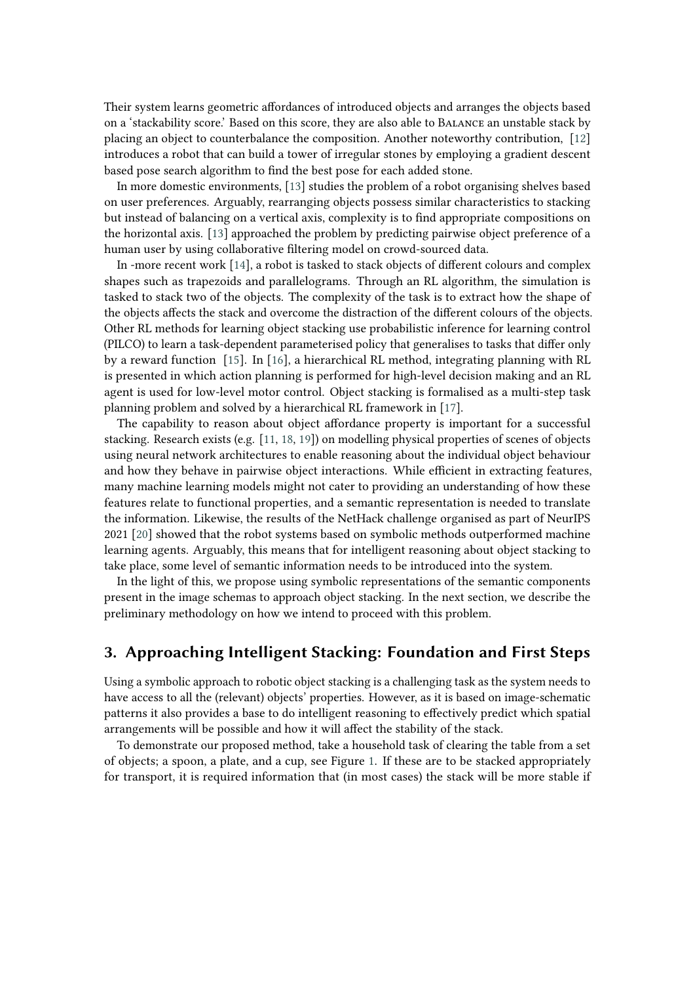Their system learns geometric affordances of introduced objects and arranges the objects based on a 'stackability score.' Based on this score, they are also able to Balance an unstable stack by placing an object to counterbalance the composition. Another noteworthy contribution, [\[12\]](#page-6-0) introduces a robot that can build a tower of irregular stones by employing a gradient descent based pose search algorithm to find the best pose for each added stone.

In more domestic environments, [\[13\]](#page-6-1) studies the problem of a robot organising shelves based on user preferences. Arguably, rearranging objects possess similar characteristics to stacking but instead of balancing on a vertical axis, complexity is to find appropriate compositions on the horizontal axis. [\[13\]](#page-6-1) approached the problem by predicting pairwise object preference of a human user by using collaborative filtering model on crowd-sourced data.

In -more recent work [\[14\]](#page-6-2), a robot is tasked to stack objects of different colours and complex shapes such as trapezoids and parallelograms. Through an RL algorithm, the simulation is tasked to stack two of the objects. The complexity of the task is to extract how the shape of the objects affects the stack and overcome the distraction of the different colours of the objects. Other RL methods for learning object stacking use probabilistic inference for learning control (PILCO) to learn a task-dependent parameterised policy that generalises to tasks that differ only by a reward function [\[15\]](#page-6-3). In [\[16\]](#page-6-4), a hierarchical RL method, integrating planning with RL is presented in which action planning is performed for high-level decision making and an RL agent is used for low-level motor control. Object stacking is formalised as a multi-step task planning problem and solved by a hierarchical RL framework in [\[17\]](#page-6-5).

The capability to reason about object affordance property is important for a successful stacking. Research exists (e.g. [\[11,](#page-5-9) [18,](#page-6-6) [19\]](#page-6-7)) on modelling physical properties of scenes of objects using neural network architectures to enable reasoning about the individual object behaviour and how they behave in pairwise object interactions. While efficient in extracting features, many machine learning models might not cater to providing an understanding of how these features relate to functional properties, and a semantic representation is needed to translate the information. Likewise, the results of the NetHack challenge organised as part of NeurIPS 2021 [\[20\]](#page-6-8) showed that the robot systems based on symbolic methods outperformed machine learning agents. Arguably, this means that for intelligent reasoning about object stacking to take place, some level of semantic information needs to be introduced into the system.

In the light of this, we propose using symbolic representations of the semantic components present in the image schemas to approach object stacking. In the next section, we describe the preliminary methodology on how we intend to proceed with this problem.

## **3. Approaching Intelligent Stacking: Foundation and First Steps**

Using a symbolic approach to robotic object stacking is a challenging task as the system needs to have access to all the (relevant) objects' properties. However, as it is based on image-schematic patterns it also provides a base to do intelligent reasoning to effectively predict which spatial arrangements will be possible and how it will affect the stability of the stack.

To demonstrate our proposed method, take a household task of clearing the table from a set of objects; a spoon, a plate, and a cup, see Figure [1.](#page-3-0) If these are to be stacked appropriately for transport, it is required information that (in most cases) the stack will be more stable if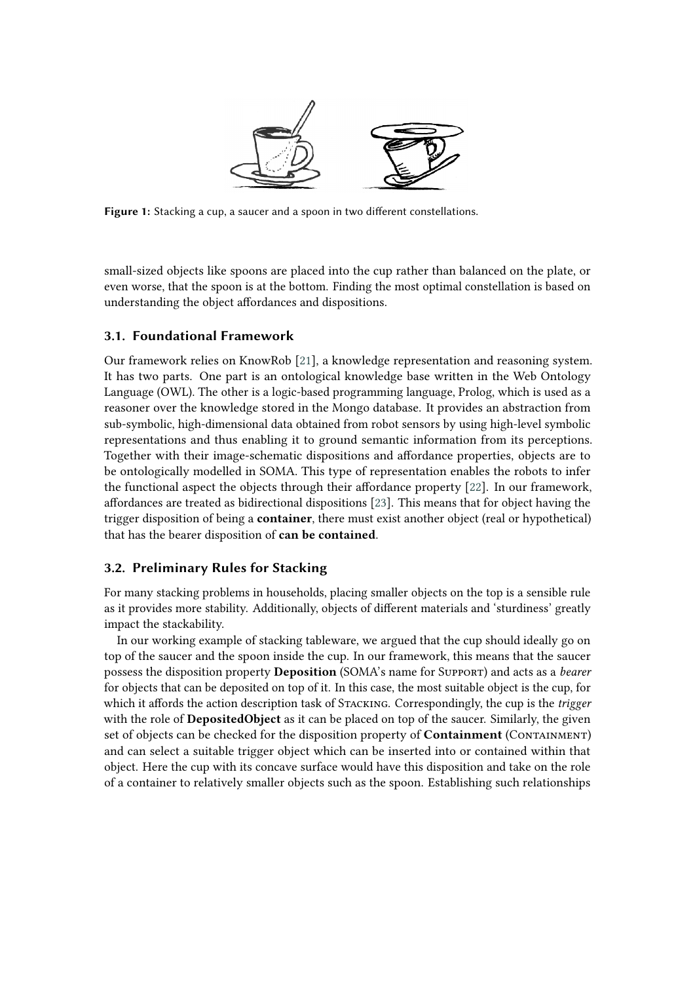<span id="page-3-0"></span>

**Figure 1:** Stacking a cup, a saucer and a spoon in two different constellations.

small-sized objects like spoons are placed into the cup rather than balanced on the plate, or even worse, that the spoon is at the bottom. Finding the most optimal constellation is based on understanding the object affordances and dispositions.

#### **3.1. Foundational Framework**

Our framework relies on KnowRob [\[21\]](#page-6-9), a knowledge representation and reasoning system. It has two parts. One part is an ontological knowledge base written in the Web Ontology Language (OWL). The other is a logic-based programming language, Prolog, which is used as a reasoner over the knowledge stored in the Mongo database. It provides an abstraction from sub-symbolic, high-dimensional data obtained from robot sensors by using high-level symbolic representations and thus enabling it to ground semantic information from its perceptions. Together with their image-schematic dispositions and affordance properties, objects are to be ontologically modelled in SOMA. This type of representation enables the robots to infer the functional aspect the objects through their affordance property [\[22\]](#page-6-10). In our framework, affordances are treated as bidirectional dispositions [\[23\]](#page-6-11). This means that for object having the trigger disposition of being a **container**, there must exist another object (real or hypothetical) that has the bearer disposition of **can be contained**.

### **3.2. Preliminary Rules for Stacking**

For many stacking problems in households, placing smaller objects on the top is a sensible rule as it provides more stability. Additionally, objects of different materials and 'sturdiness' greatly impact the stackability.

In our working example of stacking tableware, we argued that the cup should ideally go on top of the saucer and the spoon inside the cup. In our framework, this means that the saucer possess the disposition property **Deposition** (SOMA's name for Support) and acts as a *bearer* for objects that can be deposited on top of it. In this case, the most suitable object is the cup, for which it affords the action description task of Stacking. Correspondingly, the cup is the *trigger* with the role of **DepositedObject** as it can be placed on top of the saucer. Similarly, the given set of objects can be checked for the disposition property of **Containment** (CONTAINMENT) and can select a suitable trigger object which can be inserted into or contained within that object. Here the cup with its concave surface would have this disposition and take on the role of a container to relatively smaller objects such as the spoon. Establishing such relationships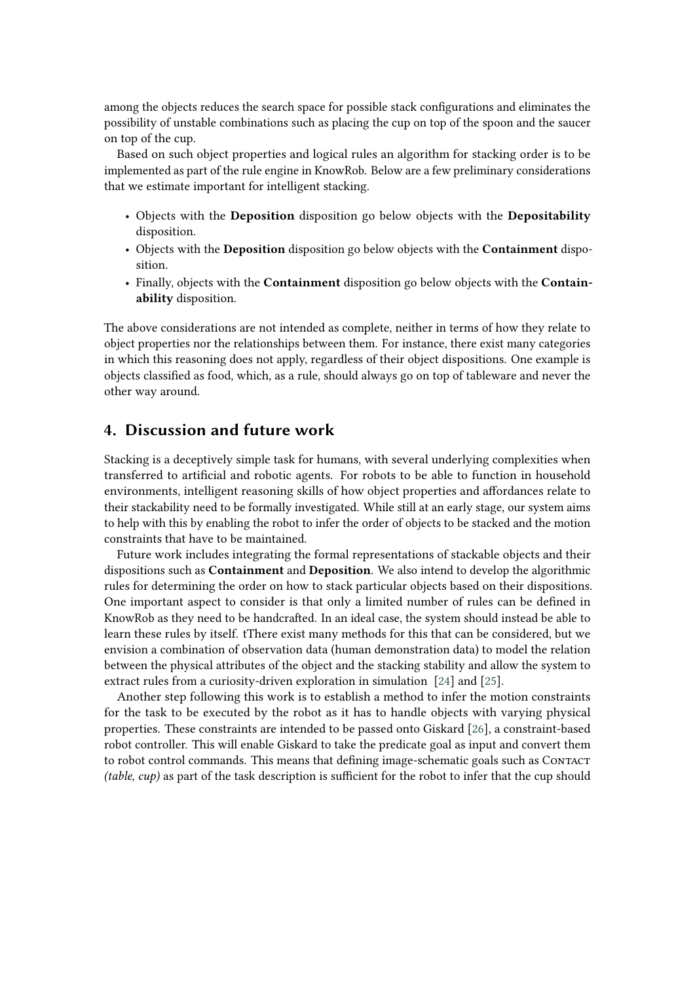among the objects reduces the search space for possible stack configurations and eliminates the possibility of unstable combinations such as placing the cup on top of the spoon and the saucer on top of the cup.

Based on such object properties and logical rules an algorithm for stacking order is to be implemented as part of the rule engine in KnowRob. Below are a few preliminary considerations that we estimate important for intelligent stacking.

- Objects with the **Deposition** disposition go below objects with the **Depositability** disposition.
- Objects with the **Deposition** disposition go below objects with the **Containment** disposition.
- Finally, objects with the **Containment** disposition go below objects with the **Containability** disposition.

The above considerations are not intended as complete, neither in terms of how they relate to object properties nor the relationships between them. For instance, there exist many categories in which this reasoning does not apply, regardless of their object dispositions. One example is objects classified as food, which, as a rule, should always go on top of tableware and never the other way around.

## **4. Discussion and future work**

Stacking is a deceptively simple task for humans, with several underlying complexities when transferred to artificial and robotic agents. For robots to be able to function in household environments, intelligent reasoning skills of how object properties and affordances relate to their stackability need to be formally investigated. While still at an early stage, our system aims to help with this by enabling the robot to infer the order of objects to be stacked and the motion constraints that have to be maintained.

Future work includes integrating the formal representations of stackable objects and their dispositions such as **Containment** and **Deposition**. We also intend to develop the algorithmic rules for determining the order on how to stack particular objects based on their dispositions. One important aspect to consider is that only a limited number of rules can be defined in KnowRob as they need to be handcrafted. In an ideal case, the system should instead be able to learn these rules by itself. tThere exist many methods for this that can be considered, but we envision a combination of observation data (human demonstration data) to model the relation between the physical attributes of the object and the stacking stability and allow the system to extract rules from a curiosity-driven exploration in simulation [\[24\]](#page-6-12) and [\[25\]](#page-6-13).

Another step following this work is to establish a method to infer the motion constraints for the task to be executed by the robot as it has to handle objects with varying physical properties. These constraints are intended to be passed onto Giskard [\[26\]](#page-6-14), a constraint-based robot controller. This will enable Giskard to take the predicate goal as input and convert them to robot control commands. This means that defining image-schematic goals such as CONTACT *(table, cup)* as part of the task description is sufficient for the robot to infer that the cup should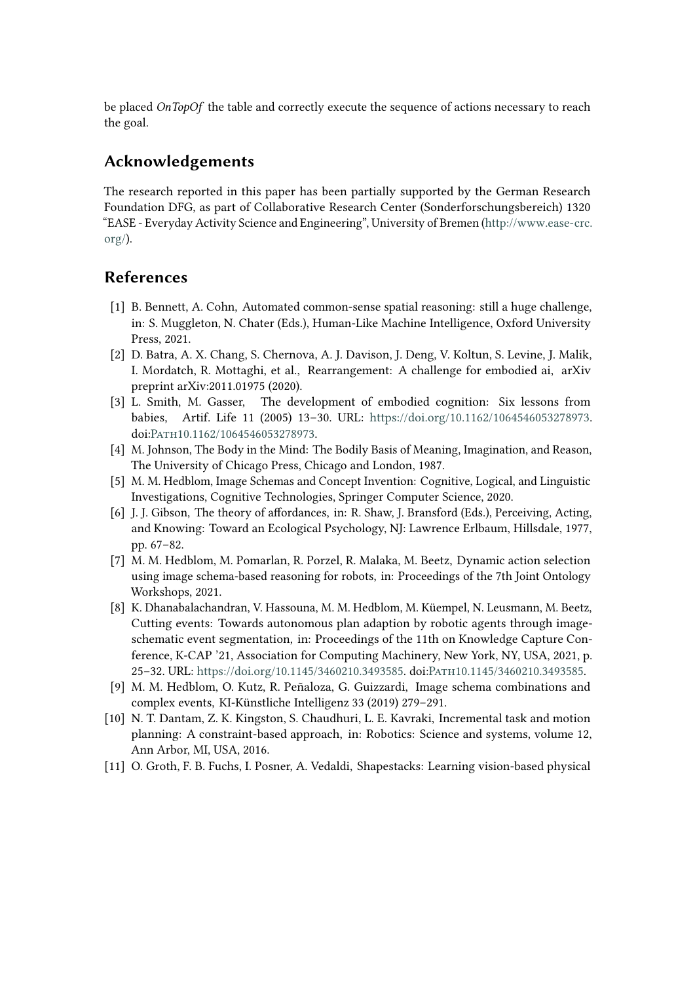be placed *OnTopOf* the table and correctly execute the sequence of actions necessary to reach the goal.

# **Acknowledgements**

The research reported in this paper has been partially supported by the German Research Foundation DFG, as part of Collaborative Research Center (Sonderforschungsbereich) 1320 "EASE - Everyday Activity Science and Engineering", University of Bremen [\(http://www.ease-crc.](http://www.ease-crc.org/) [org/\)](http://www.ease-crc.org/).

# **References**

- [1] B. Bennett, A. Cohn, Automated common-sense spatial reasoning: still a huge challenge, in: S. Muggleton, N. Chater (Eds.), Human-Like Machine Intelligence, Oxford University Press, 2021.
- <span id="page-5-0"></span>[2] D. Batra, A. X. Chang, S. Chernova, A. J. Davison, J. Deng, V. Koltun, S. Levine, J. Malik, I. Mordatch, R. Mottaghi, et al., Rearrangement: A challenge for embodied ai, arXiv preprint arXiv:2011.01975 (2020).
- <span id="page-5-1"></span>[3] L. Smith, M. Gasser, The development of embodied cognition: Six lessons from babies, Artif. Life 11 (2005) 13–30. URL: [https://doi.org/10.1162/1064546053278973.](https://doi.org/10.1162/1064546053278973) doi[:Path10.1162/1064546053278973.](http://dx.doi.org/10.1162/1064546053278973)
- <span id="page-5-2"></span>[4] M. Johnson, The Body in the Mind: The Bodily Basis of Meaning, Imagination, and Reason, The University of Chicago Press, Chicago and London, 1987.
- <span id="page-5-3"></span>[5] M. M. Hedblom, Image Schemas and Concept Invention: Cognitive, Logical, and Linguistic Investigations, Cognitive Technologies, Springer Computer Science, 2020.
- <span id="page-5-4"></span>[6] J. J. Gibson, The theory of affordances, in: R. Shaw, J. Bransford (Eds.), Perceiving, Acting, and Knowing: Toward an Ecological Psychology, NJ: Lawrence Erlbaum, Hillsdale, 1977, pp. 67–82.
- <span id="page-5-5"></span>[7] M. M. Hedblom, M. Pomarlan, R. Porzel, R. Malaka, M. Beetz, Dynamic action selection using image schema-based reasoning for robots, in: Proceedings of the 7th Joint Ontology Workshops, 2021.
- <span id="page-5-6"></span>[8] K. Dhanabalachandran, V. Hassouna, M. M. Hedblom, M. Küempel, N. Leusmann, M. Beetz, Cutting events: Towards autonomous plan adaption by robotic agents through imageschematic event segmentation, in: Proceedings of the 11th on Knowledge Capture Conference, K-CAP '21, Association for Computing Machinery, New York, NY, USA, 2021, p. 25–32. URL: [https://doi.org/10.1145/3460210.3493585.](https://doi.org/10.1145/3460210.3493585) doi[:Path10.1145/3460210.3493585.](http://dx.doi.org/10.1145/3460210.3493585)
- <span id="page-5-7"></span>[9] M. M. Hedblom, O. Kutz, R. Peñaloza, G. Guizzardi, Image schema combinations and complex events, KI-Künstliche Intelligenz 33 (2019) 279–291.
- <span id="page-5-8"></span>[10] N. T. Dantam, Z. K. Kingston, S. Chaudhuri, L. E. Kavraki, Incremental task and motion planning: A constraint-based approach, in: Robotics: Science and systems, volume 12, Ann Arbor, MI, USA, 2016.
- <span id="page-5-9"></span>[11] O. Groth, F. B. Fuchs, I. Posner, A. Vedaldi, Shapestacks: Learning vision-based physical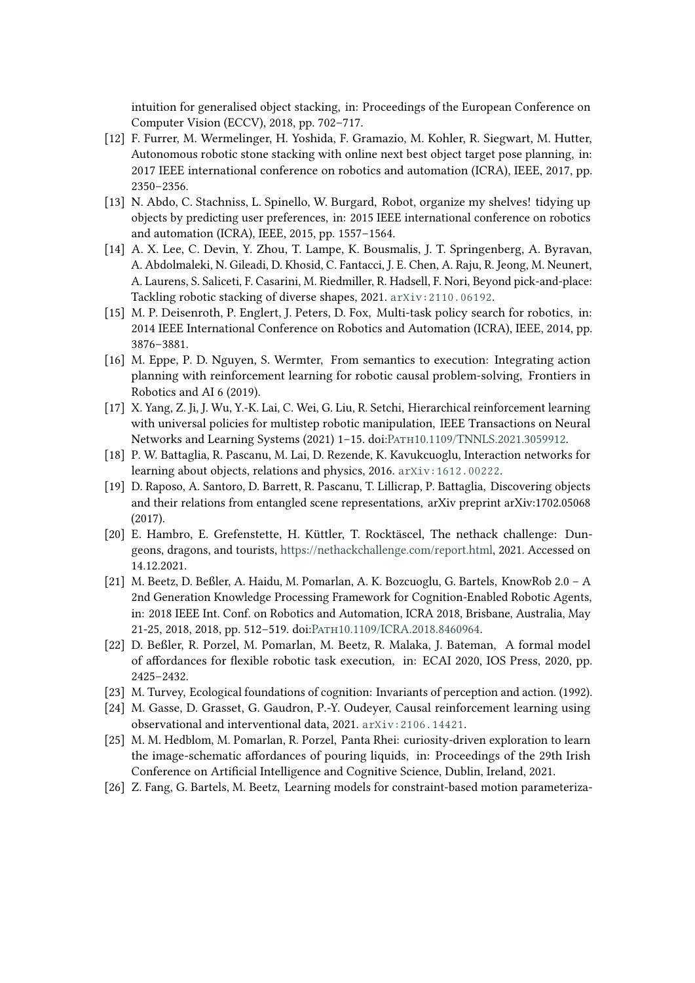intuition for generalised object stacking, in: Proceedings of the European Conference on Computer Vision (ECCV), 2018, pp. 702–717.

- <span id="page-6-0"></span>[12] F. Furrer, M. Wermelinger, H. Yoshida, F. Gramazio, M. Kohler, R. Siegwart, M. Hutter, Autonomous robotic stone stacking with online next best object target pose planning, in: 2017 IEEE international conference on robotics and automation (ICRA), IEEE, 2017, pp. 2350–2356.
- <span id="page-6-1"></span>[13] N. Abdo, C. Stachniss, L. Spinello, W. Burgard, Robot, organize my shelves! tidying up objects by predicting user preferences, in: 2015 IEEE international conference on robotics and automation (ICRA), IEEE, 2015, pp. 1557–1564.
- <span id="page-6-2"></span>[14] A. X. Lee, C. Devin, Y. Zhou, T. Lampe, K. Bousmalis, J. T. Springenberg, A. Byravan, A. Abdolmaleki, N. Gileadi, D. Khosid, C. Fantacci, J. E. Chen, A. Raju, R. Jeong, M. Neunert, A. Laurens, S. Saliceti, F. Casarini, M. Riedmiller, R. Hadsell, F. Nori, Beyond pick-and-place: Tackling robotic stacking of diverse shapes, 2021. [arXiv:2110.06192](http://arxiv.org/abs/2110.06192).
- <span id="page-6-3"></span>[15] M. P. Deisenroth, P. Englert, J. Peters, D. Fox, Multi-task policy search for robotics, in: 2014 IEEE International Conference on Robotics and Automation (ICRA), IEEE, 2014, pp. 3876–3881.
- <span id="page-6-4"></span>[16] M. Eppe, P. D. Nguyen, S. Wermter, From semantics to execution: Integrating action planning with reinforcement learning for robotic causal problem-solving, Frontiers in Robotics and AI 6 (2019).
- <span id="page-6-5"></span>[17] X. Yang, Z. Ji, J. Wu, Y.-K. Lai, C. Wei, G. Liu, R. Setchi, Hierarchical reinforcement learning with universal policies for multistep robotic manipulation, IEEE Transactions on Neural Networks and Learning Systems (2021) 1-15. doi:PATH10.1109/TNNLS.2021.3059912.
- <span id="page-6-6"></span>[18] P. W. Battaglia, R. Pascanu, M. Lai, D. Rezende, K. Kavukcuoglu, Interaction networks for learning about objects, relations and physics, 2016. arXiv: 1612.00222.
- <span id="page-6-7"></span>[19] D. Raposo, A. Santoro, D. Barrett, R. Pascanu, T. Lillicrap, P. Battaglia, Discovering objects and their relations from entangled scene representations, arXiv preprint arXiv:1702.05068 (2017).
- <span id="page-6-8"></span>[20] E. Hambro, E. Grefenstette, H. Küttler, T. Rocktäscel, The nethack challenge: Dungeons, dragons, and tourists, [https://nethackchallenge.com/report.html,](https://nethackchallenge.com/report.html) 2021. Accessed on 14.12.2021.
- <span id="page-6-9"></span>[21] M. Beetz, D. Beßler, A. Haidu, M. Pomarlan, A. K. Bozcuoglu, G. Bartels, KnowRob 2.0 – A 2nd Generation Knowledge Processing Framework for Cognition-Enabled Robotic Agents, in: 2018 IEEE Int. Conf. on Robotics and Automation, ICRA 2018, Brisbane, Australia, May 21-25, 2018, 2018, pp. 512–519. doi[:Path10.1109/ICRA.2018.8460964.](http://dx.doi.org/10.1109/ICRA.2018.8460964)
- <span id="page-6-10"></span>[22] D. Beßler, R. Porzel, M. Pomarlan, M. Beetz, R. Malaka, J. Bateman, A formal model of affordances for flexible robotic task execution, in: ECAI 2020, IOS Press, 2020, pp. 2425–2432.
- <span id="page-6-11"></span>[23] M. Turvey, Ecological foundations of cognition: Invariants of perception and action. (1992).
- <span id="page-6-12"></span>[24] M. Gasse, D. Grasset, G. Gaudron, P.-Y. Oudeyer, Causal reinforcement learning using observational and interventional data, 2021. [arXiv:2106.14421](http://arxiv.org/abs/2106.14421).
- <span id="page-6-13"></span>[25] M. M. Hedblom, M. Pomarlan, R. Porzel, Panta Rhei: curiosity-driven exploration to learn the image-schematic affordances of pouring liquids, in: Proceedings of the 29th Irish Conference on Artificial Intelligence and Cognitive Science, Dublin, Ireland, 2021.
- <span id="page-6-14"></span>[26] Z. Fang, G. Bartels, M. Beetz, Learning models for constraint-based motion parameteriza-